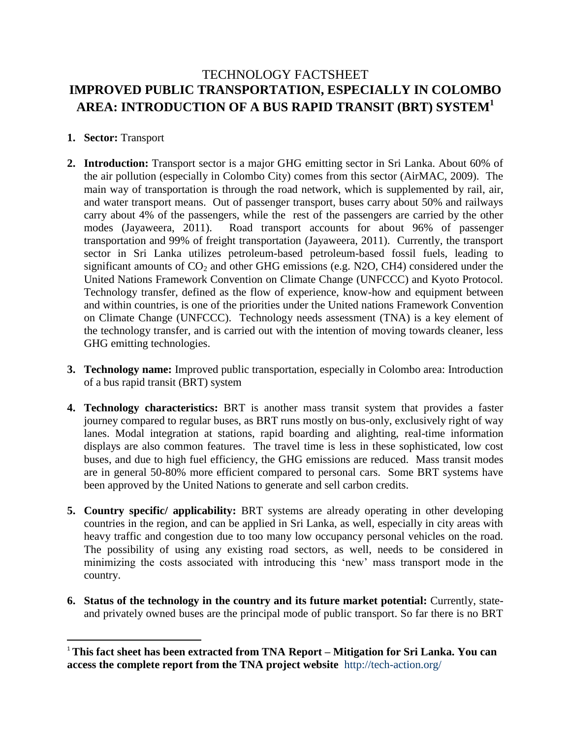# TECHNOLOGY FACTSHEET **IMPROVED PUBLIC TRANSPORTATION, ESPECIALLY IN COLOMBO AREA: INTRODUCTION OF A BUS RAPID TRANSIT (BRT) SYSTEM<sup>1</sup>**

# **1. Sector:** Transport

 $\overline{\phantom{a}}$ 

- **2. Introduction:** Transport sector is a major GHG emitting sector in Sri Lanka. About 60% of the air pollution (especially in Colombo City) comes from this sector (AirMAC, 2009). The main way of transportation is through the road network, which is supplemented by rail, air, and water transport means. Out of passenger transport, buses carry about 50% and railways carry about 4% of the passengers, while the rest of the passengers are carried by the other modes (Jayaweera, 2011). Road transport accounts for about 96% of passenger transportation and 99% of freight transportation (Jayaweera, 2011). Currently, the transport sector in Sri Lanka utilizes petroleum-based petroleum-based fossil fuels, leading to significant amounts of  $CO<sub>2</sub>$  and other GHG emissions (e.g. N2O, CH4) considered under the United Nations Framework Convention on Climate Change (UNFCCC) and Kyoto Protocol. Technology transfer, defined as the flow of experience, know-how and equipment between and within countries, is one of the priorities under the United nations Framework Convention on Climate Change (UNFCCC). Technology needs assessment (TNA) is a key element of the technology transfer, and is carried out with the intention of moving towards cleaner, less GHG emitting technologies.
- **3. Technology name:** Improved public transportation, especially in Colombo area: Introduction of a bus rapid transit (BRT) system
- **4. Technology characteristics:** BRT is another mass transit system that provides a faster journey compared to regular buses, as BRT runs mostly on bus-only, exclusively right of way lanes. Modal integration at stations, rapid boarding and alighting, real-time information displays are also common features. The travel time is less in these sophisticated, low cost buses, and due to high fuel efficiency, the GHG emissions are reduced. Mass transit modes are in general 50-80% more efficient compared to personal cars. Some BRT systems have been approved by the United Nations to generate and sell carbon credits.
- **5. Country specific/ applicability:** BRT systems are already operating in other developing countries in the region, and can be applied in Sri Lanka, as well, especially in city areas with heavy traffic and congestion due to too many low occupancy personal vehicles on the road. The possibility of using any existing road sectors, as well, needs to be considered in minimizing the costs associated with introducing this 'new' mass transport mode in the country.
- **6. Status of the technology in the country and its future market potential:** Currently, stateand privately owned buses are the principal mode of public transport. So far there is no BRT

<sup>1</sup> **This fact sheet has been extracted from TNA Report – Mitigation for Sri Lanka. You can access the complete report from the TNA project website** <http://tech-action.org/>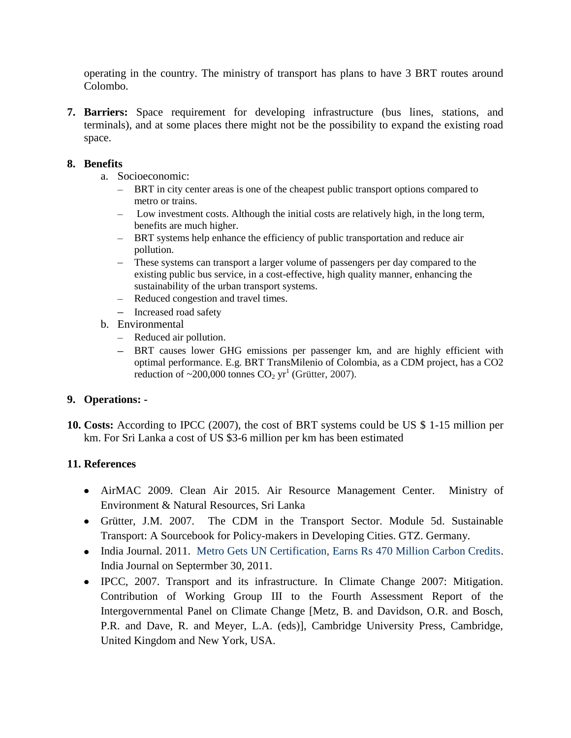operating in the country. The ministry of transport has plans to have 3 BRT routes around Colombo.

**7. Barriers:** Space requirement for developing infrastructure (bus lines, stations, and terminals), and at some places there might not be the possibility to expand the existing road space.

### **8. Benefits**

- a. Socioeconomic:
	- BRT in city center areas is one of the cheapest public transport options compared to metro or trains.
	- Low investment costs. Although the initial costs are relatively high, in the long term, benefits are much higher.
	- BRT systems help enhance the efficiency of public transportation and reduce air pollution.
	- These systems can transport a larger volume of passengers per day compared to the existing public bus service, in a cost-effective, high quality manner, enhancing the sustainability of the urban transport systems.
	- Reduced congestion and travel times.
	- Increased road safety
- b. Environmental
	- Reduced air pollution.
	- BRT causes lower GHG emissions per passenger km, and are highly efficient with optimal performance. E.g. BRT TransMilenio of Colombia, as a CDM project, has a CO2 reduction of  $\sim$ 200,000 tonnes CO<sub>2</sub> yr<sup>1</sup> (Grütter, 2007).

#### **9. Operations: -**

**10. Costs:** According to IPCC (2007), the cost of BRT systems could be US \$ 1-15 million per km. For Sri Lanka a cost of US \$3-6 million per km has been estimated

# **11. References**

- AirMAC 2009. Clean Air 2015. Air Resource Management Center. Ministry of Environment & Natural Resources, Sri Lanka
- Grütter, J.M. 2007. The CDM in the Transport Sector. Module 5d. Sustainable Transport: A Sourcebook for Policy-makers in Developing Cities. GTZ. Germany.
- India Journal. 2011. [Metro Gets UN Certification, Earns Rs 470 Million Carbon Credits.](http://www.indiajournal.com/?p=13157) India Journal on Septermber 30, 2011.
- IPCC, 2007. Transport and its infrastructure. In Climate Change 2007: Mitigation. Contribution of Working Group III to the Fourth Assessment Report of the Intergovernmental Panel on Climate Change [Metz, B. and Davidson, O.R. and Bosch, P.R. and Dave, R. and Meyer, L.A. (eds)], Cambridge University Press, Cambridge, United Kingdom and New York, USA.